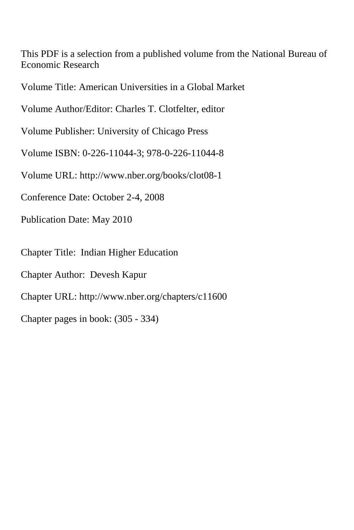This PDF is a selection from a published volume from the National Bureau of Economic Research

Volume Title: American Universities in a Global Market

Volume Author/Editor: Charles T. Clotfelter, editor

Volume Publisher: University of Chicago Press

Volume ISBN: 0-226-11044-3; 978-0-226-11044-8

Volume URL: http://www.nber.org/books/clot08-1

Conference Date: October 2-4, 2008

Publication Date: May 2010

Chapter Title: Indian Higher Education

Chapter Author: Devesh Kapur

Chapter URL: http://www.nber.org/chapters/c11600

Chapter pages in book: (305 - 334)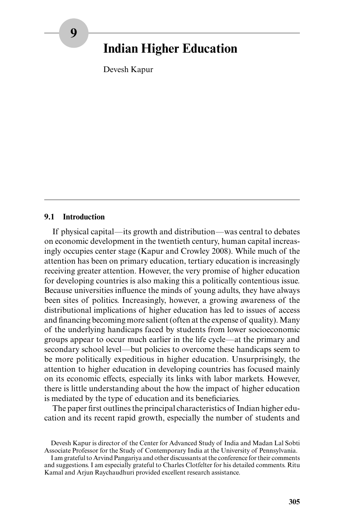# **Indian Higher Education**

Devesh Kapur

#### **9.1 Introduction**

If physical capital—its growth and distribution—was central to debates on economic development in the twentieth century, human capital increasingly occupies center stage (Kapur and Crowley 2008). While much of the attention has been on primary education, tertiary education is increasingly receiving greater attention. However, the very promise of higher education for developing countries is also making this a politically contentious issue. Because universities influence the minds of young adults, they have always been sites of politics. Increasingly, however, a growing awareness of the distributional implications of higher education has led to issues of access and financing becoming more salient (often at the expense of quality). Many of the underlying handicaps faced by students from lower socioeconomic groups appear to occur much earlier in the life cycle—at the primary and secondary school level—but policies to overcome these handicaps seem to be more politically expeditious in higher education. Unsurprisingly, the attention to higher education in developing countries has focused mainly on its economic effects, especially its links with labor markets. However, there is little understanding about the how the impact of higher education is mediated by the type of education and its beneficiaries.

The paper first outlines the principal characteristics of Indian higher education and its recent rapid growth, especially the number of students and

Devesh Kapur is director of the Center for Advanced Study of India and Madan Lal Sobti Associate Professor for the Study of Contemporary India at the University of Pennsylvania.

I am grateful to Arvind Pangariya and other discussants at the conference for their comments and suggestions. I am especially grateful to Charles Clotfelter for his detailed comments. Ritu Kamal and Arjun Raychaudhuri provided excellent research assistance.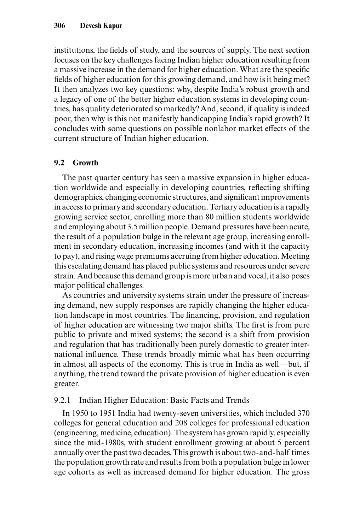institutions, the fields of study, and the sources of supply. The next section focuses on the key challenges facing Indian higher education resulting from a massive increase in the demand for higher education. What are the specific fields of higher education for this growing demand, and how is it being met? It then analyzes two key questions: why, despite India's robust growth and a legacy of one of the better higher education systems in developing countries, has quality deteriorated so markedly? And, second, if quality is indeed poor, then why is this not manifestly handicapping India's rapid growth? It concludes with some questions on possible nonlabor market effects of the current structure of Indian higher education.

#### **9.2 Growth**

The past quarter century has seen a massive expansion in higher education worldwide and especially in developing countries, reflecting shifting demographics, changing economic structures, and significant improvements in access to primary and secondary education. Tertiary education is a rapidly growing service sector, enrolling more than 80 million students worldwide and employing about 3.5 million people. Demand pressures have been acute, the result of a population bulge in the relevant age group, increasing enrollment in secondary education, increasing incomes (and with it the capacity to pay), and rising wage premiums accruing from higher education. Meeting this escalating demand has placed public systems and resources under severe strain. And because this demand group is more urban and vocal, it also poses major political challenges.

As countries and university systems strain under the pressure of increasing demand, new supply responses are rapidly changing the higher education landscape in most countries. The financing, provision, and regulation of higher education are witnessing two major shifts. The first is from pure public to private and mixed systems; the second is a shift from provision and regulation that has traditionally been purely domestic to greater international influence. These trends broadly mimic what has been occurring in almost all aspects of the economy. This is true in India as well—but, if anything, the trend toward the private provision of higher education is even greater.

#### 9.2.1 Indian Higher Education: Basic Facts and Trends

In 1950 to 1951 India had twenty- seven universities, which included 370 colleges for general education and 208 colleges for professional education (engineering, medicine, education). The system has grown rapidly, especially since the mid- 1980s, with student enrollment growing at about 5 percent annually over the past two decades. This growth is about two- and- half times the population growth rate and results from both a population bulge in lower age cohorts as well as increased demand for higher education. The gross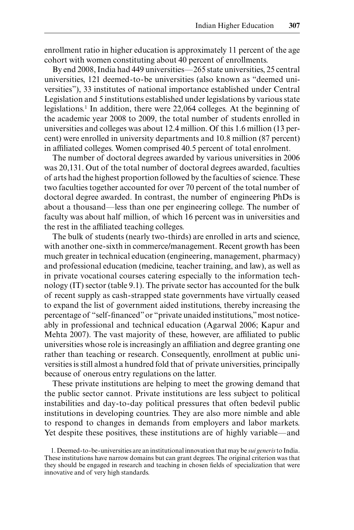enrollment ratio in higher education is approximately 11 percent of the age cohort with women constituting about 40 percent of enrollments.

By end 2008, India had 449 universities—265 state universities, 25 central universities, 121 deemed-to-be universities (also known as "deemed universities"), 33 institutes of national importance established under Central Legislation and 5 institutions established under legislations by various state legislations.<sup>1</sup> In addition, there were 22,064 colleges. At the beginning of the academic year 2008 to 2009, the total number of students enrolled in universities and colleges was about 12.4 million. Of this 1.6 million (13 percent) were enrolled in university departments and 10.8 million (87 percent) in affiliated colleges. Women comprised 40.5 percent of total enrolment.

The number of doctoral degrees awarded by various universities in 2006 was 20,131. Out of the total number of doctoral degrees awarded, faculties of arts had the highest proportion followed by the faculties of science. These two faculties together accounted for over 70 percent of the total number of doctoral degree awarded. In contrast, the number of engineering PhDs is about a thousand—less than one per engineering college. The number of faculty was about half million, of which 16 percent was in universities and the rest in the affiliated teaching colleges.

The bulk of students (nearly two- thirds) are enrolled in arts and science, with another one-sixth in commerce/management. Recent growth has been much greater in technical education (engineering, management, pharmacy) and professional education (medicine, teacher training, and law), as well as in private vocational courses catering especially to the information technology (IT) sector (table 9.1). The private sector has accounted for the bulk of recent supply as cash- strapped state governments have virtually ceased to expand the list of government aided institutions, thereby increasing the percentage of "self-financed" or "private unaided institutions," most noticeably in professional and technical education (Agarwal 2006; Kapur and Mehta 2007). The vast majority of these, however, are affiliated to public universities whose role is increasingly an affiliation and degree granting one rather than teaching or research. Consequently, enrollment at public universities is still almost a hundred fold that of private universities, principally because of onerous entry regulations on the latter.

These private institutions are helping to meet the growing demand that the public sector cannot. Private institutions are less subject to political instabilities and day- to- day political pressures that often bedevil public institutions in developing countries. They are also more nimble and able to respond to changes in demands from employers and labor markets. Yet despite these positives, these institutions are of highly variable—and

<sup>1.</sup> Deemed- to- be- universities are an institutional innovation that may be *sui generis* to India. These institutions have narrow domains but can grant degrees. The original criterion was that they should be engaged in research and teaching in chosen fields of specialization that were innovative and of very high standards.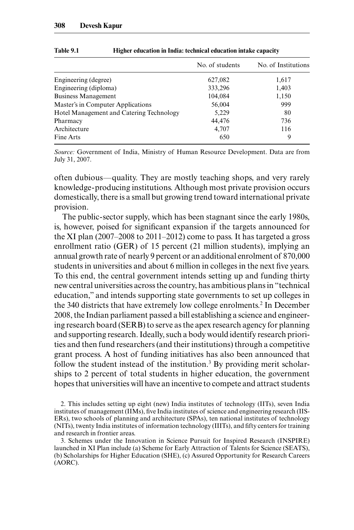|                                          | No. of students | No. of Institutions |
|------------------------------------------|-----------------|---------------------|
| Engineering (degree)                     | 627,082         | 1,617               |
| Engineering (diploma)                    | 333,296         | 1,403               |
| <b>Business Management</b>               | 104,084         | 1,150               |
| Master's in Computer Applications        | 56,004          | 999                 |
| Hotel Management and Catering Technology | 5,229           | 80                  |
| Pharmacy                                 | 44.476          | 736                 |
| Architecture                             | 4,707           | 116                 |
| Fine Arts                                | 650             | 9                   |

**Table 9.1 Higher education in India: technical education intake capacity**

*Source:* Government of India, Ministry of Human Resource Development. Data are from July 31, 2007.

often dubious—quality. They are mostly teaching shops, and very rarely knowledge- producing institutions. Although most private provision occurs domestically, there is a small but growing trend toward international private provision.

The public- sector supply, which has been stagnant since the early 1980s, is, however, poised for significant expansion if the targets announced for the XI plan (2007–2008 to 2011–2012) come to pass. It has targeted a gross enrollment ratio (GER) of 15 percent (21 million students), implying an annual growth rate of nearly 9 percent or an additional enrolment of 870,000 students in universities and about 6 million in colleges in the next five years. To this end, the central government intends setting up and funding thirty new central universities across the country, has ambitious plans in "technical education," and intends supporting state governments to set up colleges in the 340 districts that have extremely low college enrolments.<sup>2</sup> In December 2008, the Indian parliament passed a bill establishing a science and engineering research board (SERB) to serve as the apex research agency for planning and supporting research. Ideally, such a body would identify research priorities and then fund researchers (and their institutions) through a competitive grant process. A host of funding initiatives has also been announced that follow the student instead of the institution.<sup>3</sup> By providing merit scholarships to 2 percent of total students in higher education, the government hopes that universities will have an incentive to compete and attract students

2. This includes setting up eight (new) India institutes of technology (IITs), seven India institutes of management (IIMs), five India institutes of science and engineering research (IIS-ERs), two schools of planning and architecture (SPAs), ten national institutes of technology (NITs), twenty India institutes of information technology (IIITs), and fifty centers for training and research in frontier areas.

3. Schemes under the Innovation in Science Pursuit for Inspired Research (INSPIRE) launched in XI Plan include (a) Scheme for Early Attraction of Talents for Science (SEATS), (b) Scholarships for Higher Education (SHE), (c) Assured Opportunity for Research Careers (AORC).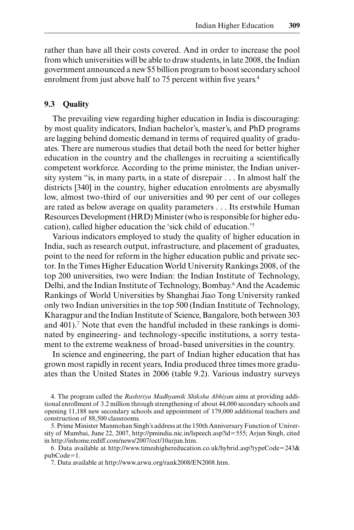rather than have all their costs covered. And in order to increase the pool from which universities will be able to draw students, in late 2008, the Indian government announced a new \$5 billion program to boost secondary school enrolment from just above half to 75 percent within five years.<sup>4</sup>

### **9.3 Quality**

The prevailing view regarding higher education in India is discouraging: by most quality indicators, Indian bachelor's, master's, and PhD programs are lagging behind domestic demand in terms of required quality of graduates. There are numerous studies that detail both the need for better higher education in the country and the challenges in recruiting a scientifically competent workforce. According to the prime minister, the Indian university system "is, in many parts, in a state of disrepair . . . In almost half the districts [340] in the country, higher education enrolments are abysmally low, almost two- third of our universities and 90 per cent of our colleges are rated as below average on quality parameters . . . Its erstwhile Human Resources Development (HRD) Minister (who is responsible for higher education), called higher education the 'sick child of education.'5

Various indicators employed to study the quality of higher education in India, such as research output, infrastructure, and placement of graduates, point to the need for reform in the higher education public and private sector. In the Times Higher Education World University Rankings 2008, of the top 200 universities, two were Indian: the Indian Institute of Technology, Delhi, and the Indian Institute of Technology, Bombay.<sup>6</sup> And the Academic Rankings of World Universities by Shanghai Jiao Tong University ranked only two Indian universities in the top 500 (Indian Institute of Technology, Kharagpur and the Indian Institute of Science, Bangalore, both between 303 and 401).<sup>7</sup> Note that even the handful included in these rankings is dominated by engineering- and technology-specific institutions, a sorry testament to the extreme weakness of broad- based universities in the country.

In science and engineering, the part of Indian higher education that has grown most rapidly in recent years, India produced three times more graduates than the United States in 2006 (table 9.2). Various industry surveys

4. The program called the *Rashtriya Madhyamik Shiksha Abhiyan* aims at providing additional enrollment of 3.2 million through strengthening of about 44,000 secondary schools and opening 11,188 new secondary schools and appointment of 179,000 additional teachers and construction of 88,500 classrooms.

5. Prime Minister Manmohan Singh's address at the 150th Anniversary Function of University of Mumbai, June 22, 2007, http://pmindia.nic.in/lspeech.asp?id=555; Arjun Singh, cited in http://inhome.rediff.com/news/2007/oct/10arjun.htm.

6. Data available at http:/ / www.timeshighereducation.co.uk/ hybrid.asp?typeCode-243& pubCode=1.

7. Data available at http://www.arwu.org/rank2008/EN2008.htm.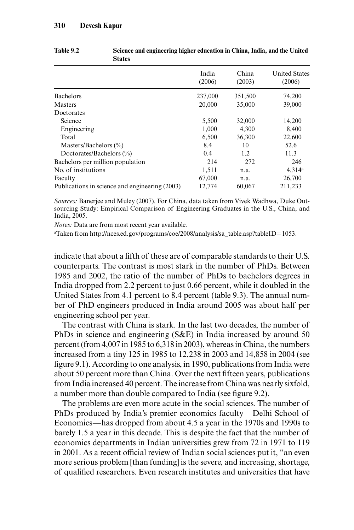| India<br>(2006) | China<br>(2003) | <b>United States</b><br>(2006) |
|-----------------|-----------------|--------------------------------|
| 237,000         | 351,500         | 74,200                         |
| 20,000          | 35,000          | 39,000                         |
|                 |                 |                                |
| 5,500           | 32,000          | 14,200                         |
| 1,000           | 4,300           | 8,400                          |
| 6,500           | 36,300          | 22,600                         |
| 8.4             | 10              | 52.6                           |
| 0.4             | 1.2             | 11.3                           |
| 214             | 272             | 246                            |
| 1,511           | n.a.            | $4,314^a$                      |
| 67,000          | n.a.            | 26,700                         |
| 12,774          | 60,067          | 211,233                        |
|                 |                 |                                |

**Table 9.2 Science and engineering higher education in China, India, and the United States**

*Sources:* Banerjee and Muley (2007). For China, data taken from Vivek Wadhwa, Duke Outsourcing Study: Empirical Comparison of Engineering Graduates in the U.S., China, and India, 2005.

*Notes:* Data are from most recent year available.

a Taken from http://nces.ed.gov/programs/coe/2008/analysis/sa\_table.asp?tableID-1053.

indicate that about a fifth of these are of comparable standards to their U.S. counterparts. The contrast is most stark in the number of PhDs. Between 1985 and 2002, the ratio of the number of PhDs to bachelors degrees in India dropped from 2.2 percent to just 0.66 percent, while it doubled in the United States from 4.1 percent to 8.4 percent (table 9.3). The annual number of PhD engineers produced in India around 2005 was about half per engineering school per year.

The contrast with China is stark. In the last two decades, the number of PhDs in science and engineering (S&E) in India increased by around 50 percent (from 4,007 in 1985 to 6,318 in 2003), whereas in China, the numbers increased from a tiny 125 in 1985 to 12,238 in 2003 and 14,858 in 2004 (see figure 9.1). According to one analysis, in 1990, publications from India were about 50 percent more than China. Over the next fifteen years, publications from India increased 40 percent. The increase from China was nearly sixfold, a number more than double compared to India (see figure 9.2).

The problems are even more acute in the social sciences. The number of PhDs produced by India's premier economics faculty—Delhi School of Economics—has dropped from about 4.5 a year in the 1970s and 1990s to barely 1.5 a year in this decade. This is despite the fact that the number of economics departments in Indian universities grew from 72 in 1971 to 119 in 2001. As a recent official review of Indian social sciences put it, "an even more serious problem [than funding] is the severe, and increasing, shortage, of qualified researchers. Even research institutes and universities that have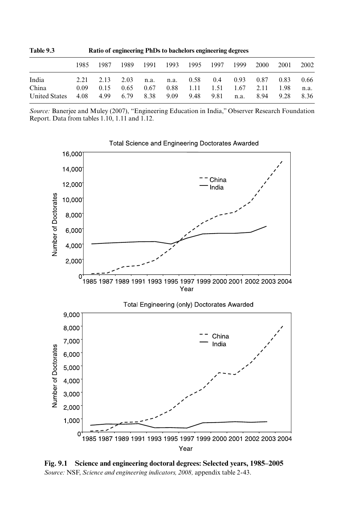| Table 9.3            |      |      |      |      | Ratio of engineering PhDs to bachelors engineering degrees |      |      |      |      |      |      |
|----------------------|------|------|------|------|------------------------------------------------------------|------|------|------|------|------|------|
|                      | 1985 | 1987 | 1989 | 1991 | 1993                                                       | 1995 | 1997 | 1999 | 2000 | 2001 | 2002 |
| India                | 2.21 | 2.13 | 2.03 | n.a. | n.a.                                                       | 0.58 | 0.4  | 0.93 | 0.87 | 0.83 | 0.66 |
| China                | 0.09 | 0.15 | 0.65 | 0.67 | 0.88                                                       | 1.11 | 1.51 | 1.67 | 2.11 | 198  | n.a. |
| <b>United States</b> | 4.08 | 4.99 | 6.79 | 8.38 | 9.09                                                       | 9.48 | 9.81 | n.a. | 894  | 9.28 | 8.36 |

*Source:* Banerjee and Muley (2007), "Engineering Education in India," Observer Research Foundation Report. Data from tables 1.10, 1.11 and 1.12.



Total Science and Engineering Doctorates Awarded

**Fig. 9.1 Science and engineering doctoral degrees: Selected years, 1985– 2005** *Source:* NSF, *Science and engineering indicators, 2008*, appendix table 2-43.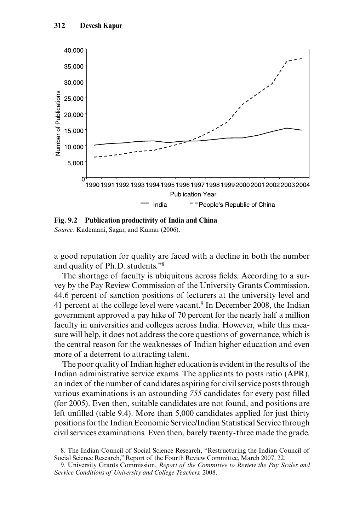

**Fig. 9.2 Publication productivity of India and China** *Source:* Kademani, Sagar, and Kumar (2006).

a good reputation for quality are faced with a decline in both the number and quality of Ph.D. students."8

The shortage of faculty is ubiquitous across fields. According to a survey by the Pay Review Commission of the University Grants Commission, 44.6 percent of sanction positions of lecturers at the university level and 41 percent at the college level were vacant.<sup>9</sup> In December 2008, the Indian government approved a pay hike of 70 percent for the nearly half a million faculty in universities and colleges across India. However, while this measure will help, it does not address the core questions of governance, which is the central reason for the weaknesses of Indian higher education and even more of a deterrent to attracting talent.

The poor quality of Indian higher education is evident in the results of the Indian administrative service exams. The applicants to posts ratio (APR), an index of the number of candidates aspiring for civil service posts through various examinations is an astounding 755 candidates for every post filled (for 2005). Even then, suitable candidates are not found, and positions are left unfilled (table 9.4). More than 5,000 candidates applied for just thirty positions for the Indian Economic Service/Indian Statistical Service through civil services examinations. Even then, barely twenty- three made the grade.

<sup>8.</sup> The Indian Council of Social Science Research, "Restructuring the Indian Council of Social Science Research," Report of the Fourth Review Committee, March 2007, 22.

<sup>9.</sup> University Grants Commission, *Report of the Committee to Review the Pay Scales and Service Conditions of University and College Teachers,* 2008.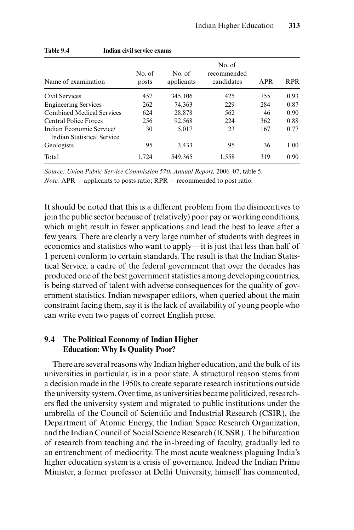| Name of examination                                    | No. of<br>posts | No. of<br>applicants | No. of<br>recommended<br>candidates | <b>APR</b> | <b>RPR</b> |
|--------------------------------------------------------|-----------------|----------------------|-------------------------------------|------------|------------|
| Civil Services                                         | 457             | 345,106              | 425                                 | 755        | 0.93       |
| <b>Engineering Services</b>                            | 262             | 74,363               | 229                                 | 284        | 0.87       |
| Combined Medical Services                              | 624             | 28,878               | 562                                 | 46         | 0.90       |
| Central Police Forces                                  | 256             | 92,568               | 224                                 | 362        | 0.88       |
| Indian Economic Service/<br>Indian Statistical Service | 30              | 5,017                | 23                                  | 167        | 0.77       |
| Geologists                                             | 95              | 3,433                | 95                                  | 36         | 1.00       |
| Total                                                  | 1.724           | 549,365              | 1.558                               | 319        | 0.90       |

#### **Table 9.4 Indian civil service exams**

*Source: Union Public Service Commission 57th Annual Report,* 2006–07, table 5. *Note:*  $APR =$  applicants to posts ratio;  $RPR =$  recommended to post ratio.

It should be noted that this is a different problem from the disincentives to join the public sector because of (relatively) poor pay or working conditions, which might result in fewer applications and lead the best to leave after a few years. There are clearly a very large number of students with degrees in economics and statistics who want to apply—it is just that less than half of 1 percent conform to certain standards. The result is that the Indian Statistical Service, a cadre of the federal government that over the decades has produced one of the best government statistics among developing countries, is being starved of talent with adverse consequences for the quality of government statistics. Indian newspaper editors, when queried about the main constraint facing them, say it is the lack of availability of young people who can write even two pages of correct English prose.

## **9.4 The Political Economy of Indian Higher Education: Why Is Quality Poor?**

There are several reasons why Indian higher education, and the bulk of its universities in particular, is in a poor state. A structural reason stems from a decision made in the 1950s to create separate research institutions outside the university system. Over time, as universities became politicized, researchers fled the university system and migrated to public institutions under the umbrella of the Council of Scientific and Industrial Research (CSIR), the Department of Atomic Energy, the Indian Space Research Organization, and the Indian Council of Social Science Research (ICSSR). The bifurcation of research from teaching and the in- breeding of faculty, gradually led to an entrenchment of mediocrity. The most acute weakness plaguing India's higher education system is a crisis of governance. Indeed the Indian Prime Minister, a former professor at Delhi University, himself has commented,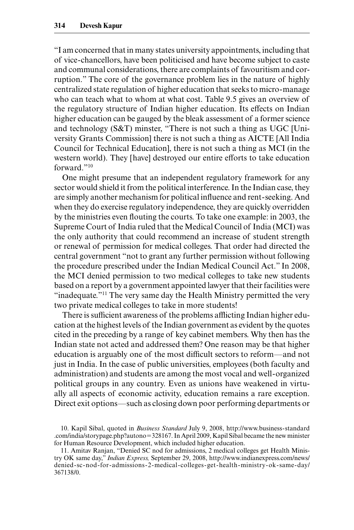"I am concerned that in many states university appointments, including that of vice- chancellors, have been politicised and have become subject to caste and communal considerations, there are complaints of favouritism and corruption." The core of the governance problem lies in the nature of highly centralized state regulation of higher education that seeks to micro- manage who can teach what to whom at what cost. Table 9.5 gives an overview of the regulatory structure of Indian higher education. Its effects on Indian higher education can be gauged by the bleak assessment of a former science and technology (S&T) minster, "There is not such a thing as UGC [University Grants Commission] there is not such a thing as AICTE [All India Council for Technical Education], there is not such a thing as MCI (in the western world). They [have] destroyed our entire efforts to take education forward."10

One might presume that an independent regulatory framework for any sector would shield it from the political interference. In the Indian case, they are simply another mechanism for political influence and rent-seeking. And when they do exercise regulatory independence, they are quickly overridden by the ministries even flouting the courts. To take one example: in 2003, the Supreme Court of India ruled that the Medical Council of India (MCI) was the only authority that could recommend an increase of student strength or renewal of permission for medical colleges. That order had directed the central government "not to grant any further permission without following the procedure prescribed under the Indian Medical Council Act." In 2008, the MCI denied permission to two medical colleges to take new students based on a report by a government appointed lawyer that their facilities were "inadequate."<sup>11</sup> The very same day the Health Ministry permitted the very two private medical colleges to take in more students!

There is sufficient awareness of the problems afflicting Indian higher education at the highest levels of the Indian government as evident by the quotes cited in the preceding by a range of key cabinet members. Why then has the Indian state not acted and addressed them? One reason may be that higher education is arguably one of the most difficult sectors to reform—and not just in India. In the case of public universities, employees (both faculty and administration) and students are among the most vocal and well- organized political groups in any country. Even as unions have weakened in virtually all aspects of economic activity, education remains a rare exception. Direct exit options—such as closing down poor performing departments or

<sup>10.</sup> Kapil Sibal, quoted in *Business Standard* July 9, 2008, http:/ / www.business- standard .com/ india/ storypage.php?autono-328167. In April 2009, Kapil Sibal became the new minister for Human Resource Development, which included higher education.

<sup>11.</sup> Amitav Ranjan, "Denied SC nod for admissions, 2 medical colleges get Health Ministry OK same day," *Indian Express*, September 29, 2008, http://www.indianexpress.com/news/ denied- sc- nod- for- admissions- 2- medical- colleges- get- health- ministry- ok- same- day/ 367138/0.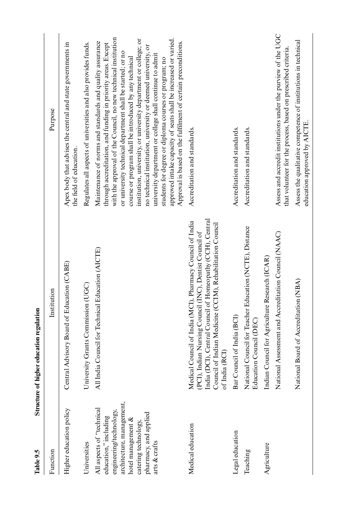| Table 9.5                                                                                                                                                                                             | Structure of higher education regulation                                                                                                                                                                                                                         |                                                                                                                                                                                                                                                                                                                                                                                                                                                                                                                                                                                                                                                                                                                  |
|-------------------------------------------------------------------------------------------------------------------------------------------------------------------------------------------------------|------------------------------------------------------------------------------------------------------------------------------------------------------------------------------------------------------------------------------------------------------------------|------------------------------------------------------------------------------------------------------------------------------------------------------------------------------------------------------------------------------------------------------------------------------------------------------------------------------------------------------------------------------------------------------------------------------------------------------------------------------------------------------------------------------------------------------------------------------------------------------------------------------------------------------------------------------------------------------------------|
| Function                                                                                                                                                                                              | Institution                                                                                                                                                                                                                                                      | Purpose                                                                                                                                                                                                                                                                                                                                                                                                                                                                                                                                                                                                                                                                                                          |
| Higher education policy                                                                                                                                                                               | Central Advisory Board of Education (CABE)                                                                                                                                                                                                                       | Apex body that advises the central and state governments in<br>the field of education.                                                                                                                                                                                                                                                                                                                                                                                                                                                                                                                                                                                                                           |
| Universities                                                                                                                                                                                          | University Grants Commission (UGC)                                                                                                                                                                                                                               | Regulates all aspects of universities and also provides funds.                                                                                                                                                                                                                                                                                                                                                                                                                                                                                                                                                                                                                                                   |
| architecture, management,<br>All aspects of "technical<br>engineering/technology,<br>pharmacy, and applied<br>education," including<br>hotel management $\&$<br>catering technology,<br>arts & crafts | All India Council for Technical Education (AICTE)                                                                                                                                                                                                                | with the approval of the Council, no new technical institution<br>approved intake capacity of seats shall be increased or varied.<br>institution, university, or university department or college; or<br>Maintenance of norms and standards and quality assurance<br>Approval is based on the fulfilment of certain preconditions.<br>through accreditation, and funding in priority areas. Except<br>no technical institution, university or deemed university, or<br>or university technical department shall be started; or no<br>university department or college shall continue to admit<br>course or program shall be introduced by any technical<br>students for degree or diploma courses or program; no |
| Medical education                                                                                                                                                                                     | India (DCI), Central Council of Homeopathy (CCH), Central<br>Medical Council of India (MCI), Pharmacy Council of India<br>Council of Indian Medicine (CCIM), Rehabilitation Council<br>(PCI), Indian Nursing Council (INC), Dentist Council of<br>of India (RCI) | Accreditation and standards.                                                                                                                                                                                                                                                                                                                                                                                                                                                                                                                                                                                                                                                                                     |
| Legal education                                                                                                                                                                                       | Bar Council of India (BCI)                                                                                                                                                                                                                                       | Accreditation and standards.                                                                                                                                                                                                                                                                                                                                                                                                                                                                                                                                                                                                                                                                                     |
| Teaching                                                                                                                                                                                              | National Council for Teacher Education (NCTE), Distance<br>Education Council (DEC)                                                                                                                                                                               | Accreditation and standards.                                                                                                                                                                                                                                                                                                                                                                                                                                                                                                                                                                                                                                                                                     |
| Agriculture                                                                                                                                                                                           | Indian Council for Agriculture Research (ICAR)                                                                                                                                                                                                                   |                                                                                                                                                                                                                                                                                                                                                                                                                                                                                                                                                                                                                                                                                                                  |
|                                                                                                                                                                                                       | National Assessment and Accreditation Council (NAAC)                                                                                                                                                                                                             | Assess and accredit institutions under the purview of the UGC<br>that volunteer for the process, based on prescribed criteria.                                                                                                                                                                                                                                                                                                                                                                                                                                                                                                                                                                                   |
|                                                                                                                                                                                                       | National Board of Accreditation (NBA)                                                                                                                                                                                                                            | Assess the qualitative competence of institutions in technical<br>education approved by AICTE                                                                                                                                                                                                                                                                                                                                                                                                                                                                                                                                                                                                                    |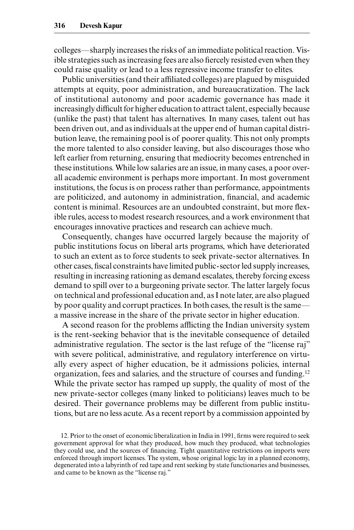colleges—sharply increases the risks of an immediate political reaction. Visible strategies such as increasing fees are also fiercely resisted even when they could raise quality or lead to a less regressive income transfer to elites.

Public universities (and their affiliated colleges) are plagued by misguided attempts at equity, poor administration, and bureaucratization. The lack of institutional autonomy and poor academic governance has made it increasingly difficult for higher education to attract talent, especially because (unlike the past) that talent has alternatives. In many cases, talent out has been driven out, and as individuals at the upper end of human capital distribution leave, the remaining pool is of poorer quality. This not only prompts the more talented to also consider leaving, but also discourages those who left earlier from returning, ensuring that mediocrity becomes entrenched in these institutions. While low salaries are an issue, in many cases, a poor overall academic environment is perhaps more important. In most government institutions, the focus is on process rather than performance, appointments are politicized, and autonomy in administration, financial, and academic content is minimal. Resources are an undoubted constraint, but more flexible rules, access to modest research resources, and a work environment that encourages innovative practices and research can achieve much.

Consequently, changes have occurred largely because the majority of public institutions focus on liberal arts programs, which have deteriorated to such an extent as to force students to seek private- sector alternatives. In other cases, fiscal constraints have limited public-sector led supply increases, resulting in increasing rationing as demand escalates, thereby forcing excess demand to spill over to a burgeoning private sector. The latter largely focus on technical and professional education and, as I note later, are also plagued by poor quality and corrupt practices. In both cases, the result is the same a massive increase in the share of the private sector in higher education.

A second reason for the problems afflicting the Indian university system is the rent- seeking behavior that is the inevitable consequence of detailed administrative regulation. The sector is the last refuge of the "license raj" with severe political, administrative, and regulatory interference on virtually every aspect of higher education, be it admissions policies, internal organization, fees and salaries, and the structure of courses and funding.12 While the private sector has ramped up supply, the quality of most of the new private- sector colleges (many linked to politicians) leaves much to be desired. Their governance problems may be different from public institutions, but are no less acute. As a recent report by a commission appointed by

12. Prior to the onset of economic liberalization in India in 1991, firms were required to seek government approval for what they produced, how much they produced, what technologies they could use, and the sources of financing. Tight quantitative restrictions on imports were enforced through import licenses. The system, whose original logic lay in a planned economy, degenerated into a labyrinth of red tape and rent seeking by state functionaries and businesses, and came to be known as the "license raj."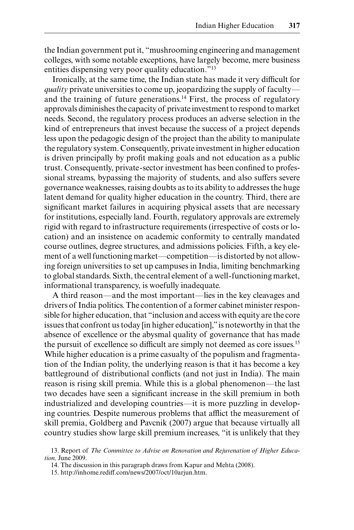the Indian government put it, "mushrooming engineering and management colleges, with some notable exceptions, have largely become, mere business entities dispensing very poor quality education."<sup>13</sup>

Ironically, at the same time, the Indian state has made it very difficult for *quality* private universities to come up, jeopardizing the supply of faculty and the training of future generations.<sup>14</sup> First, the process of regulatory approvals diminishes the capacity of private investment to respond to market needs. Second, the regulatory process produces an adverse selection in the kind of entrepreneurs that invest because the success of a project depends less upon the pedagogic design of the project than the ability to manipulate the regulatory system. Consequently, private investment in higher education is driven principally by profit making goals and not education as a public trust. Consequently, private-sector investment has been confined to professional streams, bypassing the majority of students, and also suffers severe governance weaknesses, raising doubts as to its ability to addresses the huge latent demand for quality higher education in the country. Third, there are significant market failures in acquiring physical assets that are necessary for institutions, especially land. Fourth, regulatory approvals are extremely rigid with regard to infrastructure requirements (irrespective of costs or location) and an insistence on academic conformity to centrally mandated course outlines, degree structures, and admissions policies. Fifth, a key element of a well functioning market—competition—is distorted by not allowing foreign universities to set up campuses in India, limiting benchmarking to global standards. Sixth, the central element of a well- functioning market, informational transparency, is woefully inadequate.

A third reason—and the most important—lies in the key cleavages and drivers of India politics. The contention of a former cabinet minister responsible for higher education, that "inclusion and access with equity are the core issues that confront us today [in higher education]," is noteworthy in that the absence of excellence or the abysmal quality of governance that has made the pursuit of excellence so difficult are simply not deemed as core issues.15 While higher education is a prime casualty of the populism and fragmentation of the Indian polity, the underlying reason is that it has become a key battleground of distributional conflicts (and not just in India). The main reason is rising skill premia. While this is a global phenomenon—the last two decades have seen a significant increase in the skill premium in both industrialized and developing countries—it is more puzzling in developing countries. Despite numerous problems that afflict the measurement of skill premia, Goldberg and Pavcnik (2007) argue that because virtually all country studies show large skill premium increases, "it is unlikely that they

15. http://inhome.rediff.com/news/2007/oct/10arjun.htm.

<sup>13.</sup> Report of *The Committee to Advise on Renovation and Rejuvenation of Higher Education,* June 2009.

<sup>14.</sup> The discussion in this paragraph draws from Kapur and Mehta (2008).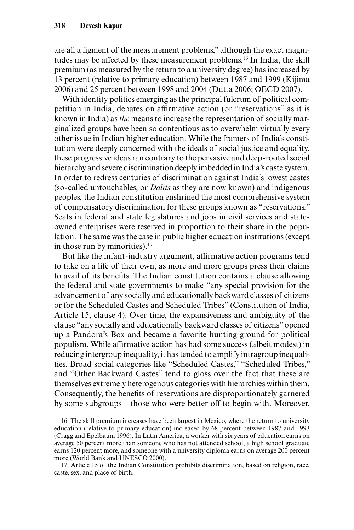are all a figment of the measurement problems," although the exact magnitudes may be affected by these measurement problems.16 In India, the skill premium (as measured by the return to a university degree) has increased by 13 percent (relative to primary education) between 1987 and 1999 (Kijima 2006) and 25 percent between 1998 and 2004 (Dutta 2006; OECD 2007).

With identity politics emerging as the principal fulcrum of political competition in India, debates on affirmative action (or "reservations" as it is known in India) as *the* means to increase the representation of socially marginalized groups have been so contentious as to overwhelm virtually every other issue in Indian higher education. While the framers of India's constitution were deeply concerned with the ideals of social justice and equality, these progressive ideas ran contrary to the pervasive and deep- rooted social hierarchy and severe discrimination deeply imbedded in India's caste system. In order to redress centuries of discrimination against India's lowest castes (so- called untouchables, or *Dalits* as they are now known) and indigenous peoples, the Indian constitution enshrined the most comprehensive system of compensatory discrimination for these groups known as "reservations." Seats in federal and state legislatures and jobs in civil services and state owned enterprises were reserved in proportion to their share in the population. The same was the case in public higher education institutions (except in those run by minorities). $17$ 

But like the infant- industry argument, affirmative action programs tend to take on a life of their own, as more and more groups press their claims to avail of its benefits. The Indian constitution contains a clause allowing the federal and state governments to make "any special provision for the advancement of any socially and educationally backward classes of citizens or for the Scheduled Castes and Scheduled Tribes" (Constitution of India, Article 15, clause 4). Over time, the expansiveness and ambiguity of the clause "any socially and educationally backward classes of citizens" opened up a Pandora's Box and became a favorite hunting ground for political populism. While affirmative action has had some success (albeit modest) in reducing intergroup inequality, it has tended to amplify intragroup inequalities. Broad social categories like "Scheduled Castes," "Scheduled Tribes," and "Other Backward Castes" tend to gloss over the fact that these are themselves extremely heterogenous categories with hierarchies within them. Consequently, the benefits of reservations are disproportionately garnered by some subgroups—those who were better off to begin with. Moreover,

16. The skill premium increases have been largest in Mexico, where the return to university education (relative to primary education) increased by 68 percent between 1987 and 1993 (Cragg and Epelbaum 1996). In Latin America, a worker with six years of education earns on average 50 percent more than someone who has not attended school, a high school graduate earns 120 percent more, and someone with a university diploma earns on average 200 percent more (World Bank and UNESCO 2000).

17. Article 15 of the Indian Constitution prohibits discrimination, based on religion, race, caste, sex, and place of birth.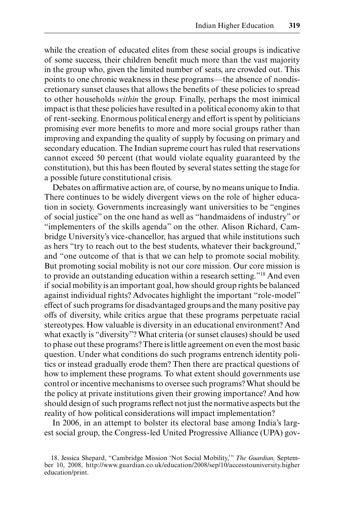while the creation of educated elites from these social groups is indicative of some success, their children benefi t much more than the vast majority in the group who, given the limited number of seats, are crowded out. This points to one chronic weakness in these programs—the absence of nondiscretionary sunset clauses that allows the benefits of these policies to spread to other households *within* the group. Finally, perhaps the most inimical impact is that these policies have resulted in a political economy akin to that of rent- seeking. Enormous political energy and effort is spent by politicians promising ever more benefits to more and more social groups rather than improving and expanding the quality of supply by focusing on primary and secondary education. The Indian supreme court has ruled that reservations cannot exceed 50 percent (that would violate equality guaranteed by the constitution), but this has been flouted by several states setting the stage for a possible future constitutional crisis.

Debates on affirmative action are, of course, by no means unique to India. There continues to be widely divergent views on the role of higher education in society. Governments increasingly want universities to be "engines of social justice" on the one hand as well as "handmaidens of industry" or "implementers of the skills agenda" on the other. Alison Richard, Cambridge University's vice- chancellor, has argued that while institutions such as hers "try to reach out to the best students, whatever their background," and "one outcome of that is that we can help to promote social mobility. But promoting social mobility is not our core mission. Our core mission is to provide an outstanding education within a research setting."18 And even if social mobility is an important goal, how should group rights be balanced against individual rights? Advocates highlight the important "role- model" effect of such programs for disadvantaged groups and the many positive pay offs of diversity, while critics argue that these programs perpetuate racial stereotypes. How valuable is diversity in an educational environment? And what exactly is "diversity"? What criteria (or sunset clauses) should be used to phase out these programs? There is little agreement on even the most basic question. Under what conditions do such programs entrench identity politics or instead gradually erode them? Then there are practical questions of how to implement these programs. To what extent should governments use control or incentive mechanisms to oversee such programs? What should be the policy at private institutions given their growing importance? And how should design of such programs reflect not just the normative aspects but the reality of how political considerations will impact implementation?

In 2006, in an attempt to bolster its electoral base among India's largest social group, the Congress- led United Progressive Alliance (UPA) gov-

<sup>18.</sup> Jessica Shepard, "Cambridge Mission 'Not Social Mobility,'" *The Guardian,* September 10, 2008, http://www.guardian.co.uk/education/2008/sep/10/accesstouniversity.higher education/print.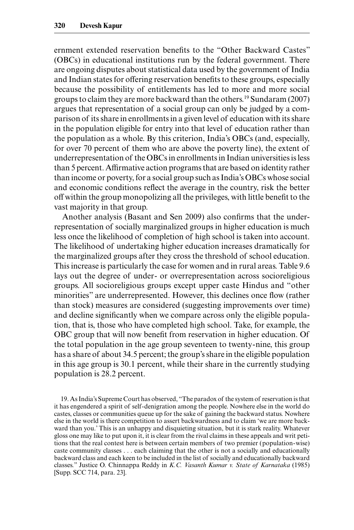ernment extended reservation benefits to the "Other Backward Castes" (OBCs) in educational institutions run by the federal government. There are ongoing disputes about statistical data used by the government of India and Indian states for offering reservation benefits to these groups, especially because the possibility of entitlements has led to more and more social groups to claim they are more backward than the others.19 Sundaram (2007) argues that representation of a social group can only be judged by a comparison of its share in enrollments in a given level of education with its share in the population eligible for entry into that level of education rather than the population as a whole. By this criterion, India's OBCs (and, especially, for over 70 percent of them who are above the poverty line), the extent of underrepresentation of the OBCs in enrollments in Indian universities is less than 5 percent. Affirmative action programs that are based on identity rather than income or poverty, for a social group such as India's OBCs whose social and economic conditions reflect the average in the country, risk the better off within the group monopolizing all the privileges, with little benefit to the vast majority in that group.

Another analysis (Basant and Sen 2009) also confirms that the underrepresentation of socially marginalized groups in higher education is much less once the likelihood of completion of high school is taken into account. The likelihood of undertaking higher education increases dramatically for the marginalized groups after they cross the threshold of school education. This increase is particularly the case for women and in rural areas. Table 9.6 lays out the degree of under- or overrepresentation across socioreligious groups. All socioreligious groups except upper caste Hindus and "other minorities" are underrepresented. However, this declines once flow (rather than stock) measures are considered (suggesting improvements over time) and decline significantly when we compare across only the eligible population, that is, those who have completed high school. Take, for example, the OBC group that will now benefit from reservation in higher education. Of the total population in the age group seventeen to twenty-nine, this group has a share of about 34.5 percent; the group's share in the eligible population in this age group is 30.1 percent, while their share in the currently studying population is 28.2 percent.

19. As India's Supreme Court has observed, "The paradox of the system of reservation is that it has engendered a spirit of self- denigration among the people. Nowhere else in the world do castes, classes or communities queue up for the sake of gaining the backward status. Nowhere else in the world is there competition to assert backwardness and to claim 'we are more backward than you.' This is an unhappy and disquieting situation, but it is stark reality. Whatever gloss one may like to put upon it, it is clear from the rival claims in these appeals and writ petitions that the real contest here is between certain members of two premier (population- wise) caste community classes . . . each claiming that the other is not a socially and educationally backward class and each keen to be included in the list of socially and educationally backward classes." Justice O. Chinnappa Reddy in *K.C. Vasanth Kumar v. State of Karnataka* (1985) [Supp. SCC 714, para. 23].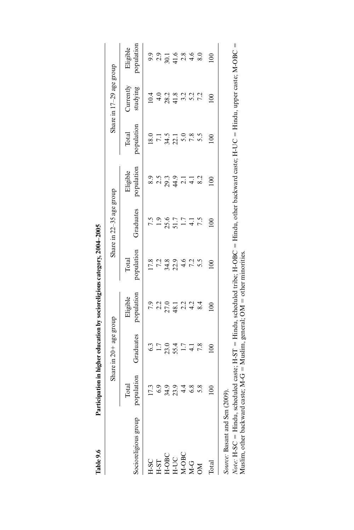| Table 9.6                                                                                                                                                             | Participation in higher education by socioreligious category, 2004-2005 |                         |                        |                     |                          |                        |                     |                          |                        |
|-----------------------------------------------------------------------------------------------------------------------------------------------------------------------|-------------------------------------------------------------------------|-------------------------|------------------------|---------------------|--------------------------|------------------------|---------------------|--------------------------|------------------------|
|                                                                                                                                                                       |                                                                         | Share in 20 + age group |                        |                     | Share in 22-35 age group |                        |                     | Share in 17-29 age group |                        |
| Socioreligious group                                                                                                                                                  | population<br>Total                                                     | Graduates               | population<br>Eligible | population<br>Total | Graduates                | population<br>Eligible | population<br>Total | Currently<br>studying    | population<br>Eligible |
|                                                                                                                                                                       | 17.3                                                                    | 6.3                     | 7.9                    | 17.8                |                          | 8.9                    | 18.0                |                          | 9.9                    |
|                                                                                                                                                                       | 6.9                                                                     | 1.7                     | 2.2                    | 7.2                 | 1.9                      | 2.5                    |                     | 4.0                      | 2.9                    |
| $11.5C$ H-SC<br>$11.5C$<br>$11.5C$<br>$11.5C$<br>$11.5C$<br>$11.5C$<br>$11.5C$<br>$11.5C$<br>$11.5C$                                                                  | 34.9                                                                    | 23.0                    | 27.0                   | 34.8                | 25.6                     |                        | 34.5                | 28.2                     | 30.1                   |
|                                                                                                                                                                       | 23.9                                                                    | 55.4                    | 48.1                   | 22.9                | 51.7                     | $29.3$<br>44.9         | 22.1                | 41.8                     | 41.6                   |
|                                                                                                                                                                       | $4\cdot$                                                                | 1.7                     | 2.2                    | 4.6                 | 1.7                      | $\overline{c}$         | 5.0                 | 3.2                      | 2.8                    |
|                                                                                                                                                                       | $\frac{8}{6}$                                                           | $\overline{4.1}$        | 4.2                    | 7.2                 |                          | $\frac{1}{4}$          | 7.8                 | 5.2                      | $4.6$<br>8.0           |
|                                                                                                                                                                       | 5.8                                                                     | 7.8                     | 8.4                    | 5.5                 | 7.5                      | 8.2                    |                     | 7.2                      |                        |
| <b>Total</b>                                                                                                                                                          | 100                                                                     | 8                       | $\approx$              | $\approx$           |                          | $\approx$              | $\infty$            | $\approx$                | $\approx$              |
| Note: H-SC = Hindu, scheduled caste; H-ST = Hindu, scheduled tribe; H-OBC = Hindu, other backward caste; H-UC = Hindu, upper caste; M-OBC =<br>Source: Basant and Sen | (2009)                                                                  |                         |                        |                     |                          |                        |                     |                          |                        |
|                                                                                                                                                                       |                                                                         |                         |                        |                     |                          |                        |                     |                          |                        |

*Note:* H- SC Hindu, scheduled caste; H- ST Hindu, scheduled tribe; H- OBC Hindu, other backward caste; H- UC

Muslim, general; OM

other minorities.

Muslim, other backward caste; M- G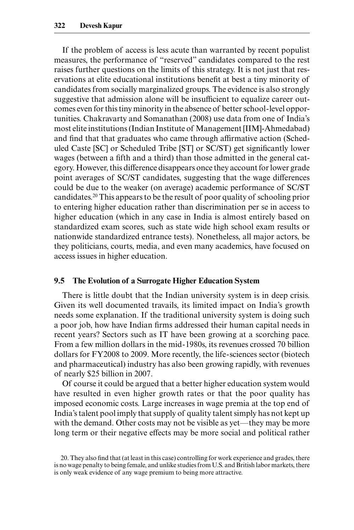If the problem of access is less acute than warranted by recent populist measures, the performance of "reserved" candidates compared to the rest raises further questions on the limits of this strategy. It is not just that reservations at elite educational institutions benefit at best a tiny minority of candidates from socially marginalized groups. The evidence is also strongly suggestive that admission alone will be insufficient to equalize career outcomes even for this tiny minority in the absence of better school- level opportunities. Chakravarty and Somanathan (2008) use data from one of India's most elite institutions (Indian Institute of Management [IIM]- Ahmedabad) and find that that graduates who came through affirmative action (Scheduled Caste [SC] or Scheduled Tribe [ST] or SC/ST) get significantly lower wages (between a fifth and a third) than those admitted in the general category. However, this difference disappears once they account for lower grade point averages of SC/ST candidates, suggesting that the wage differences could be due to the weaker (on average) academic performance of SC/ST candidates.20 This appears to be the result of poor quality of schooling prior to entering higher education rather than discrimination per se in access to higher education (which in any case in India is almost entirely based on standardized exam scores, such as state wide high school exam results or nationwide standardized entrance tests). Nonetheless, all major actors, be they politicians, courts, media, and even many academics, have focused on access issues in higher education.

#### **9.5 The Evolution of a Surrogate Higher Education System**

There is little doubt that the Indian university system is in deep crisis. Given its well documented travails, its limited impact on India's growth needs some explanation. If the traditional university system is doing such a poor job, how have Indian firms addressed their human capital needs in recent years? Sectors such as IT have been growing at a scorching pace. From a few million dollars in the mid- 1980s, its revenues crossed 70 billion dollars for FY2008 to 2009. More recently, the life- sciences sector (biotech and pharmaceutical) industry has also been growing rapidly, with revenues of nearly \$25 billion in 2007.

Of course it could be argued that a better higher education system would have resulted in even higher growth rates or that the poor quality has imposed economic costs. Large increases in wage premia at the top end of India's talent pool imply that supply of quality talent simply has not kept up with the demand. Other costs may not be visible as yet—they may be more long term or their negative effects may be more social and political rather

<sup>20.</sup> They also find that (at least in this case) controlling for work experience and grades, there is no wage penalty to being female, and unlike studies from U.S. and British labor markets, there is only weak evidence of any wage premium to being more attractive.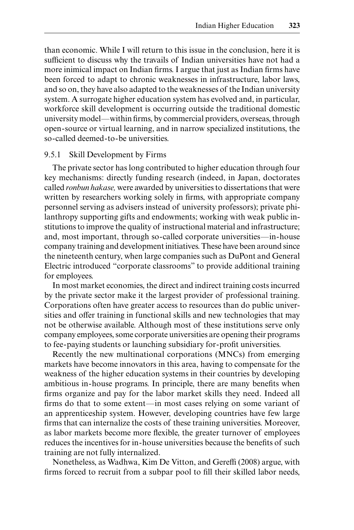than economic. While I will return to this issue in the conclusion, here it is sufficient to discuss why the travails of Indian universities have not had a more inimical impact on Indian firms. I argue that just as Indian firms have been forced to adapt to chronic weaknesses in infrastructure, labor laws, and so on, they have also adapted to the weaknesses of the Indian university system. A surrogate higher education system has evolved and, in particular, workforce skill development is occurring outside the traditional domestic university model—within firms, by commercial providers, overseas, through open- source or virtual learning, and in narrow specialized institutions, the so- called deemed- to- be universities.

### 9.5.1 Skill Development by Firms

The private sector has long contributed to higher education through four key mechanisms: directly funding research (indeed, in Japan, doctorates called *ronbun hakase,* were awarded by universities to dissertations that were written by researchers working solely in firms, with appropriate company personnel serving as advisers instead of university professors); private philanthropy supporting gifts and endowments; working with weak public institutions to improve the quality of instructional material and infrastructure; and, most important, through so- called corporate universities—in- house company training and development initiatives. These have been around since the nineteenth century, when large companies such as DuPont and General Electric introduced "corporate classrooms" to provide additional training for employees.

In most market economies, the direct and indirect training costs incurred by the private sector make it the largest provider of professional training. Corporations often have greater access to resources than do public universities and offer training in functional skills and new technologies that may not be otherwise available. Although most of these institutions serve only company employees, some corporate universities are opening their programs to fee-paying students or launching subsidiary for-profit universities.

Recently the new multinational corporations (MNCs) from emerging markets have become innovators in this area, having to compensate for the weakness of the higher education systems in their countries by developing ambitious in-house programs. In principle, there are many benefits when firms organize and pay for the labor market skills they need. Indeed all firms do that to some extent—in most cases relying on some variant of an apprenticeship system. However, developing countries have few large firms that can internalize the costs of these training universities. Moreover, as labor markets become more flexible, the greater turnover of employees reduces the incentives for in-house universities because the benefits of such training are not fully internalized.

Nonetheless, as Wadhwa, Kim De Vitton, and Gereffi (2008) argue, with firms forced to recruit from a subpar pool to fill their skilled labor needs,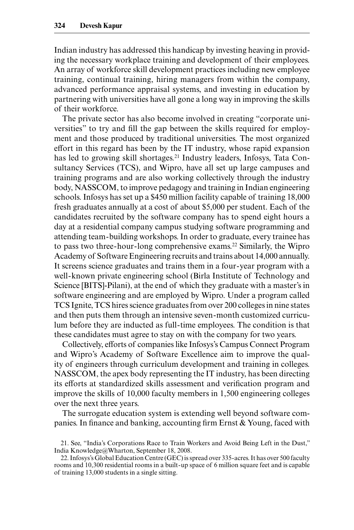Indian industry has addressed this handicap by investing heaving in providing the necessary workplace training and development of their employees. An array of workforce skill development practices including new employee training, continual training, hiring managers from within the company, advanced performance appraisal systems, and investing in education by partnering with universities have all gone a long way in improving the skills of their workforce.

The private sector has also become involved in creating "corporate universities" to try and fill the gap between the skills required for employment and those produced by traditional universities. The most organized effort in this regard has been by the IT industry, whose rapid expansion has led to growing skill shortages.<sup>21</sup> Industry leaders, Infosys, Tata Consultancy Services (TCS), and Wipro, have all set up large campuses and training programs and are also working collectively through the industry body, NASSCOM, to improve pedagogy and training in Indian engineering schools. Infosys has set up a \$450 million facility capable of training 18,000 fresh graduates annually at a cost of about \$5,000 per student. Each of the candidates recruited by the software company has to spend eight hours a day at a residential company campus studying software programming and attending team- building workshops. In order to graduate, every trainee has to pass two three-hour-long comprehensive exams.<sup>22</sup> Similarly, the Wipro Academy of Software Engineering recruits and trains about 14,000 annually. It screens science graduates and trains them in a four- year program with a well- known private engineering school (Birla Institute of Technology and Science [BITS]- Pilani), at the end of which they graduate with a master's in software engineering and are employed by Wipro. Under a program called TCS Ignite, TCS hires science graduates from over 200 colleges in nine states and then puts them through an intensive seven- month customized curriculum before they are inducted as full- time employees. The condition is that these candidates must agree to stay on with the company for two years.

Collectively, efforts of companies like Infosys's Campus Connect Program and Wipro's Academy of Software Excellence aim to improve the quality of engineers through curriculum development and training in colleges. NASSCOM, the apex body representing the IT industry, has been directing its efforts at standardized skills assessment and verification program and improve the skills of 10,000 faculty members in 1,500 engineering colleges over the next three years.

The surrogate education system is extending well beyond software companies. In finance and banking, accounting firm Ernst  $& Young$ , faced with

<sup>21.</sup> See, "India's Corporations Race to Train Workers and Avoid Being Left in the Dust," India Knowledge@Wharton, September 18, 2008.

<sup>22.</sup> Infosys's Global Education Centre (GEC) is spread over 335- acres. It has over 500 faculty rooms and 10,300 residential rooms in a built- up space of 6 million square feet and is capable of training 13,000 students in a single sitting.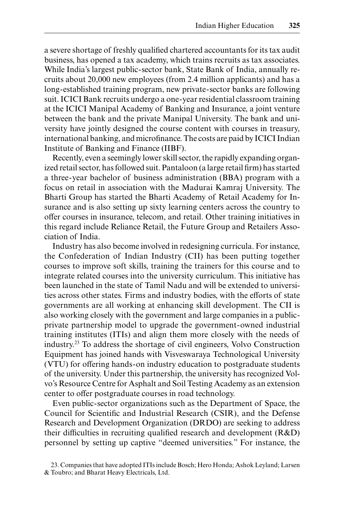a severe shortage of freshly qualified chartered accountants for its tax audit business, has opened a tax academy, which trains recruits as tax associates. While India's largest public- sector bank, State Bank of India, annually recruits about 20,000 new employees (from 2.4 million applicants) and has a long- established training program, new private- sector banks are following suit. ICICI Bank recruits undergo a one- year residential classroom training at the ICICI Manipal Academy of Banking and Insurance, a joint venture between the bank and the private Manipal University. The bank and university have jointly designed the course content with courses in treasury, international banking, and microfinance. The costs are paid by ICICI Indian Institute of Banking and Finance (IIBF).

Recently, even a seemingly lower skill sector, the rapidly expanding organized retail sector, has followed suit. Pantaloon (a large retail firm) has started a three- year bachelor of business administration (BBA) program with a focus on retail in association with the Madurai Kamraj University. The Bharti Group has started the Bharti Academy of Retail Academy for Insurance and is also setting up sixty learning centers across the country to offer courses in insurance, telecom, and retail. Other training initiatives in this regard include Reliance Retail, the Future Group and Retailers Association of India.

Industry has also become involved in redesigning curricula. For instance, the Confederation of Indian Industry (CII) has been putting together courses to improve soft skills, training the trainers for this course and to integrate related courses into the university curriculum. This initiative has been launched in the state of Tamil Nadu and will be extended to universities across other states. Firms and industry bodies, with the efforts of state governments are all working at enhancing skill development. The CII is also working closely with the government and large companies in a public private partnership model to upgrade the government- owned industrial training institutes (ITIs) and align them more closely with the needs of industry.23 To address the shortage of civil engineers, Volvo Construction Equipment has joined hands with Visveswaraya Technological University (VTU) for offering hands- on industry education to postgraduate students of the university. Under this partnership, the university has recognized Volvo's Resource Centre for Asphalt and Soil Testing Academy as an extension center to offer postgraduate courses in road technology.

Even public- sector organizations such as the Department of Space, the Council for Scientific and Industrial Research (CSIR), and the Defense Research and Development Organization (DRDO) are seeking to address their difficulties in recruiting qualified research and development  $(R&D)$ personnel by setting up captive "deemed universities." For instance, the

<sup>23.</sup> Companies that have adopted ITIs include Bosch; Hero Honda; Ashok Leyland; Larsen & Toubro; and Bharat Heavy Electricals, Ltd.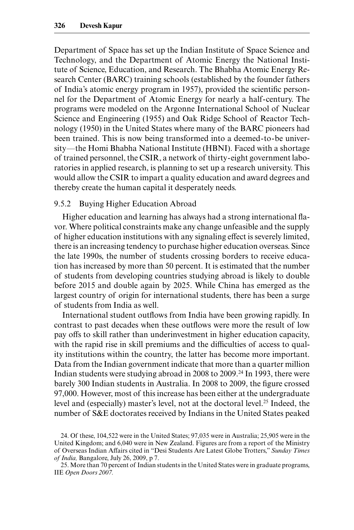Department of Space has set up the Indian Institute of Space Science and Technology, and the Department of Atomic Energy the National Institute of Science, Education, and Research. The Bhabha Atomic Energy Research Center (BARC) training schools (established by the founder fathers of India's atomic energy program in 1957), provided the scientific personnel for the Department of Atomic Energy for nearly a half- century. The programs were modeled on the Argonne International School of Nuclear Science and Engineering (1955) and Oak Ridge School of Reactor Technology (1950) in the United States where many of the BARC pioneers had been trained. This is now being transformed into a deemed-to-be university—the Homi Bhabha National Institute (HBNI). Faced with a shortage of trained personnel, the CSIR, a network of thirty- eight government laboratories in applied research, is planning to set up a research university. This would allow the CSIR to impart a quality education and award degrees and thereby create the human capital it desperately needs.

## 9.5.2 Buying Higher Education Abroad

Higher education and learning has always had a strong international flavor. Where political constraints make any change unfeasible and the supply of higher education institutions with any signaling effect is severely limited, there is an increasing tendency to purchase higher education overseas. Since the late 1990s, the number of students crossing borders to receive education has increased by more than 50 percent. It is estimated that the number of students from developing countries studying abroad is likely to double before 2015 and double again by 2025. While China has emerged as the largest country of origin for international students, there has been a surge of students from India as well.

International student outflows from India have been growing rapidly. In contrast to past decades when these outflows were more the result of low pay offs to skill rather than underinvestment in higher education capacity, with the rapid rise in skill premiums and the difficulties of access to quality institutions within the country, the latter has become more important. Data from the Indian government indicate that more than a quarter million Indian students were studying abroad in 2008 to 2009.<sup>24</sup> In 1993, there were barely 300 Indian students in Australia. In 2008 to 2009, the figure crossed 97,000. However, most of this increase has been either at the undergraduate level and (especially) master's level, not at the doctoral level.<sup>25</sup> Indeed, the number of S&E doctorates received by Indians in the United States peaked

<sup>24.</sup> Of these, 104,522 were in the United States; 97,035 were in Australia; 25,905 were in the United Kingdom; and 6,040 were in New Zealand. Figures are from a report of the Ministry of Overseas Indian Affairs cited in "Desi Students Are Latest Globe Trotters," *Sunday Times of India,* Bangalore, July 26, 2009, p 7.

<sup>25.</sup> More than 70 percent of Indian students in the United States were in graduate programs, IIE *Open Doors 2007.*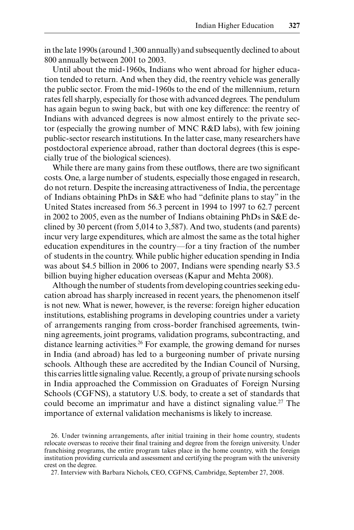in the late 1990s (around 1,300 annually) and subsequently declined to about 800 annually between 2001 to 2003.

Until about the mid- 1960s, Indians who went abroad for higher education tended to return. And when they did, the reentry vehicle was generally the public sector. From the mid- 1960s to the end of the millennium, return rates fell sharply, especially for those with advanced degrees. The pendulum has again begun to swing back, but with one key difference: the reentry of Indians with advanced degrees is now almost entirely to the private sector (especially the growing number of MNC R&D labs), with few joining public- sector research institutions. In the latter case, many researchers have postdoctoral experience abroad, rather than doctoral degrees (this is especially true of the biological sciences).

While there are many gains from these outflows, there are two significant costs. One, a large number of students, especially those engaged in research, do not return. Despite the increasing attractiveness of India, the percentage of Indians obtaining PhDs in S&E who had "definite plans to stay" in the United States increased from 56.3 percent in 1994 to 1997 to 62.7 percent in 2002 to 2005, even as the number of Indians obtaining PhDs in S&E declined by 30 percent (from 5,014 to 3,587). And two, students (and parents) incur very large expenditures, which are almost the same as the total higher education expenditures in the country—for a tiny fraction of the number of students in the country. While public higher education spending in India was about \$4.5 billion in 2006 to 2007, Indians were spending nearly \$3.5 billion buying higher education overseas (Kapur and Mehta 2008).

Although the number of students from developing countries seeking education abroad has sharply increased in recent years, the phenomenon itself is not new. What is newer, however, is the reverse: foreign higher education institutions, establishing programs in developing countries under a variety of arrangements ranging from cross- border franchised agreements, twinning agreements, joint programs, validation programs, subcontracting, and distance learning activities.<sup>26</sup> For example, the growing demand for nurses in India (and abroad) has led to a burgeoning number of private nursing schools. Although these are accredited by the Indian Council of Nursing, this carries little signaling value. Recently, a group of private nursing schools in India approached the Commission on Graduates of Foreign Nursing Schools (CGFNS), a statutory U.S. body, to create a set of standards that could become an imprimatur and have a distinct signaling value.<sup>27</sup> The importance of external validation mechanisms is likely to increase.

26. Under twinning arrangements, after initial training in their home country, students relocate overseas to receive their final training and degree from the foreign university. Under franchising programs, the entire program takes place in the home country, with the foreign institution providing curricula and assessment and certifying the program with the university crest on the degree.

27. Interview with Barbara Nichols, CEO, CGFNS, Cambridge, September 27, 2008.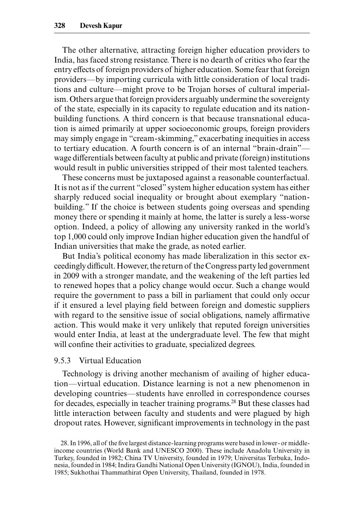The other alternative, attracting foreign higher education providers to India, has faced strong resistance. There is no dearth of critics who fear the entry effects of foreign providers of higher education. Some fear that foreign providers—by importing curricula with little consideration of local traditions and culture—might prove to be Trojan horses of cultural imperialism. Others argue that foreign providers arguably undermine the sovereignty of the state, especially in its capacity to regulate education and its nation building functions. A third concern is that because transnational education is aimed primarily at upper socioeconomic groups, foreign providers may simply engage in "cream- skimming," exacerbating inequities in access to tertiary education. A fourth concern is of an internal "brain-drain"wage differentials between faculty at public and private (foreign) institutions would result in public universities stripped of their most talented teachers.

These concerns must be juxtaposed against a reasonable counterfactual. It is not as if the current "closed" system higher education system has either sharply reduced social inequality or brought about exemplary "nation building." If the choice is between students going overseas and spending money there or spending it mainly at home, the latter is surely a less- worse option. Indeed, a policy of allowing any university ranked in the world's top 1,000 could only improve Indian higher education given the handful of Indian universities that make the grade, as noted earlier.

But India's political economy has made liberalization in this sector exceedingly difficult. However, the return of the Congress party led government in 2009 with a stronger mandate, and the weakening of the left parties led to renewed hopes that a policy change would occur. Such a change would require the government to pass a bill in parliament that could only occur if it ensured a level playing field between foreign and domestic suppliers with regard to the sensitive issue of social obligations, namely affirmative action. This would make it very unlikely that reputed foreign universities would enter India, at least at the undergraduate level. The few that might will confine their activities to graduate, specialized degrees.

#### 9.5.3 Virtual Education

Technology is driving another mechanism of availing of higher education—virtual education. Distance learning is not a new phenomenon in developing countries—students have enrolled in correspondence courses for decades, especially in teacher training programs.<sup>28</sup> But these classes had little interaction between faculty and students and were plagued by high dropout rates. However, significant improvements in technology in the past

<sup>28.</sup> In 1996, all of the five largest distance-learning programs were based in lower- or middle income countries (World Bank and UNESCO 2000). These include Anadolu University in Turkey, founded in 1982; China TV University, founded in 1979; Universitas Terbuka, Indonesia, founded in 1984; Indira Gandhi National Open University (IGNOU), India, founded in 1985; Sukhothai Thammathirat Open University, Thailand, founded in 1978.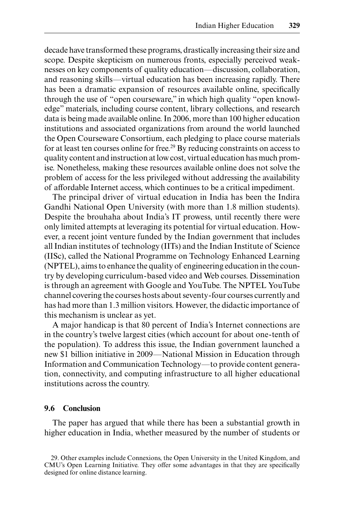decade have transformed these programs, drastically increasing their size and scope. Despite skepticism on numerous fronts, especially perceived weaknesses on key components of quality education—discussion, collaboration, and reasoning skills—virtual education has been increasing rapidly. There has been a dramatic expansion of resources available online, specifically through the use of "open courseware," in which high quality "open knowledge" materials, including course content, library collections, and research data is being made available online. In 2006, more than 100 higher education institutions and associated organizations from around the world launched the Open Courseware Consortium, each pledging to place course materials for at least ten courses online for free.<sup>29</sup> By reducing constraints on access to quality content and instruction at low cost, virtual education has much promise. Nonetheless, making these resources available online does not solve the problem of access for the less privileged without addressing the availability of affordable Internet access, which continues to be a critical impediment.

The principal driver of virtual education in India has been the Indira Gandhi National Open University (with more than 1.8 million students). Despite the brouhaha about India's IT prowess, until recently there were only limited attempts at leveraging its potential for virtual education. However, a recent joint venture funded by the Indian government that includes all Indian institutes of technology (IITs) and the Indian Institute of Science (IISc), called the National Programme on Technology Enhanced Learning (NPTEL), aims to enhance the quality of engineering education in the country by developing curriculum- based video and Web courses. Dissemination is through an agreement with Google and YouTube. The NPTEL YouTube channel covering the courses hosts about seventy- four courses currently and has had more than 1.3 million visitors. However, the didactic importance of this mechanism is unclear as yet.

A major handicap is that 80 percent of India's Internet connections are in the country's twelve largest cities (which account for about one- tenth of the population). To address this issue, the Indian government launched a new \$1 billion initiative in 2009—National Mission in Education through Information and Communication Technology—to provide content generation, connectivity, and computing infrastructure to all higher educational institutions across the country.

### **9.6 Conclusion**

The paper has argued that while there has been a substantial growth in higher education in India, whether measured by the number of students or

<sup>29.</sup> Other examples include Connexions, the Open University in the United Kingdom, and CMU's Open Learning Initiative. They offer some advantages in that they are specifically designed for online distance learning.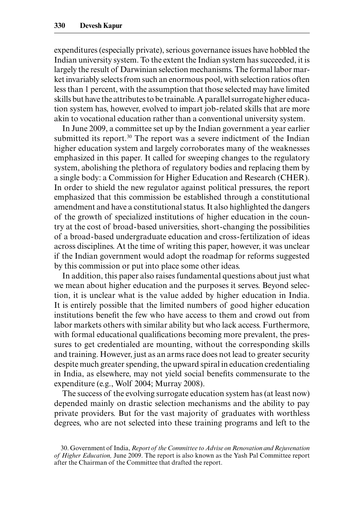expenditures (especially private), serious governance issues have hobbled the Indian university system. To the extent the Indian system has succeeded, it is largely the result of Darwinian selection mechanisms. The formal labor market invariably selects from such an enormous pool, with selection ratios often less than 1 percent, with the assumption that those selected may have limited skills but have the attributes to be trainable. A parallel surrogate higher education system has, however, evolved to impart job- related skills that are more akin to vocational education rather than a conventional university system.

In June 2009, a committee set up by the Indian government a year earlier submitted its report.<sup>30</sup> The report was a severe indictment of the Indian higher education system and largely corroborates many of the weaknesses emphasized in this paper. It called for sweeping changes to the regulatory system, abolishing the plethora of regulatory bodies and replacing them by a single body: a Commission for Higher Education and Research (CHER). In order to shield the new regulator against political pressures, the report emphasized that this commission be established through a constitutional amendment and have a constitutional status. It also highlighted the dangers of the growth of specialized institutions of higher education in the country at the cost of broad- based universities, short- changing the possibilities of a broad- based undergraduate education and cross- fertilization of ideas across disciplines. At the time of writing this paper, however, it was unclear if the Indian government would adopt the roadmap for reforms suggested by this commission or put into place some other ideas.

In addition, this paper also raises fundamental questions about just what we mean about higher education and the purposes it serves. Beyond selection, it is unclear what is the value added by higher education in India. It is entirely possible that the limited numbers of good higher education institutions benefit the few who have access to them and crowd out from labor markets others with similar ability but who lack access. Furthermore, with formal educational qualifications becoming more prevalent, the pressures to get credentialed are mounting, without the corresponding skills and training. However, just as an arms race does not lead to greater security despite much greater spending, the upward spiral in education credentialing in India, as elsewhere, may not yield social benefits commensurate to the expenditure (e.g., Wolf 2004; Murray 2008).

The success of the evolving surrogate education system has (at least now) depended mainly on drastic selection mechanisms and the ability to pay private providers. But for the vast majority of graduates with worthless degrees, who are not selected into these training programs and left to the

<sup>30.</sup> Government of India, *Report of the Committee to Advise on Renovation and Rejuvenation of Higher Education,* June 2009. The report is also known as the Yash Pal Committee report after the Chairman of the Committee that drafted the report.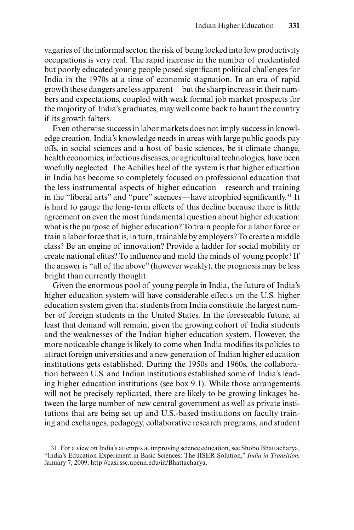vagaries of the informal sector, the risk of being locked into low productivity occupations is very real. The rapid increase in the number of credentialed but poorly educated young people posed significant political challenges for India in the 1970s at a time of economic stagnation. In an era of rapid growth these dangers are less apparent—but the sharp increase in their numbers and expectations, coupled with weak formal job market prospects for the majority of India's graduates, may well come back to haunt the country if its growth falters.

Even otherwise success in labor markets does not imply success in knowledge creation. India's knowledge needs in areas with large public goods pay offs, in social sciences and a host of basic sciences, be it climate change, health economics, infectious diseases, or agricultural technologies, have been woefully neglected. The Achilles heel of the system is that higher education in India has become so completely focused on professional education that the less instrumental aspects of higher education—research and training in the "liberal arts" and "pure" sciences—have atrophied significantly.<sup>31</sup> It is hard to gauge the long- term effects of this decline because there is little agreement on even the most fundamental question about higher education: what is the purpose of higher education? To train people for a labor force or train a labor force that is, in turn, trainable by employers? To create a middle class? Be an engine of innovation? Provide a ladder for social mobility or create national elites? To influence and mold the minds of young people? If the answer is "all of the above" (however weakly), the prognosis may be less bright than currently thought.

Given the enormous pool of young people in India, the future of India's higher education system will have considerable effects on the U.S. higher education system given that students from India constitute the largest number of foreign students in the United States. In the foreseeable future, at least that demand will remain, given the growing cohort of India students and the weaknesses of the Indian higher education system. However, the more noticeable change is likely to come when India modifies its policies to attract foreign universities and a new generation of Indian higher education institutions gets established. During the 1950s and 1960s, the collaboration between U.S. and Indian institutions established some of India's leading higher education institutions (see box 9.1). While those arrangements will not be precisely replicated, there are likely to be growing linkages between the large number of new central government as well as private institutions that are being set up and U.S.- based institutions on faculty training and exchanges, pedagogy, collaborative research programs, and student

<sup>31.</sup> For a view on India's attempts at improving science education, see Shobo Bhattacharya, "India's Education Experiment in Basic Sciences: The IISER Solution," *India in Transition,* January 7, 2009, http://casi.ssc.upenn.edu/iit/Bhattacharya.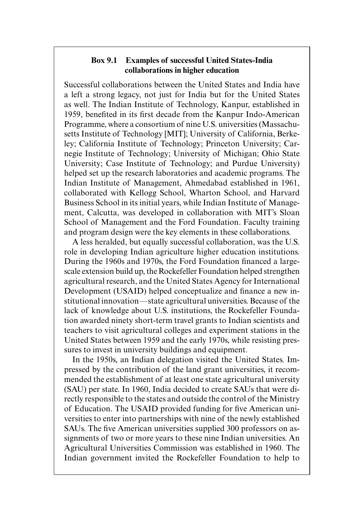## **Box 9.1 Examples of successful United States- India collaborations in higher education**

Successful collaborations between the United States and India have a left a strong legacy, not just for India but for the United States as well. The Indian Institute of Technology, Kanpur, established in 1959, benefited in its first decade from the Kanpur Indo-American Programme, where a consortium of nine U.S. universities (Massachusetts Institute of Technology [MIT]; University of California, Berkeley; California Institute of Technology; Princeton University; Carnegie Institute of Technology; University of Michigan; Ohio State University; Case Institute of Technology; and Purdue University) helped set up the research laboratories and academic programs. The Indian Institute of Management, Ahmedabad established in 1961, collaborated with Kellogg School, Wharton School, and Harvard Business School in its initial years, while Indian Institute of Management, Calcutta, was developed in collaboration with MIT's Sloan School of Management and the Ford Foundation. Faculty training and program design were the key elements in these collaborations.

A less heralded, but equally successful collaboration, was the U.S. role in developing Indian agriculture higher education institutions. During the 1960s and 1970s, the Ford Foundation financed a largescale extension build up, the Rockefeller Foundation helped strengthen agricultural research, and the United States Agency for International Development (USAID) helped conceptualize and finance a new institutional innovation—state agricultural universities. Because of the lack of knowledge about U.S. institutions, the Rockefeller Foundation awarded ninety short- term travel grants to Indian scientists and teachers to visit agricultural colleges and experiment stations in the United States between 1959 and the early 1970s, while resisting pressures to invest in university buildings and equipment.

In the 1950s, an Indian delegation visited the United States. Impressed by the contribution of the land grant universities, it recommended the establishment of at least one state agricultural university (SAU) per state. In 1960, India decided to create SAUs that were directly responsible to the states and outside the control of the Ministry of Education. The USAID provided funding for five American universities to enter into partnerships with nine of the newly established SAUs. The five American universities supplied 300 professors on assignments of two or more years to these nine Indian universities. An Agricultural Universities Commission was established in 1960. The Indian government invited the Rockefeller Foundation to help to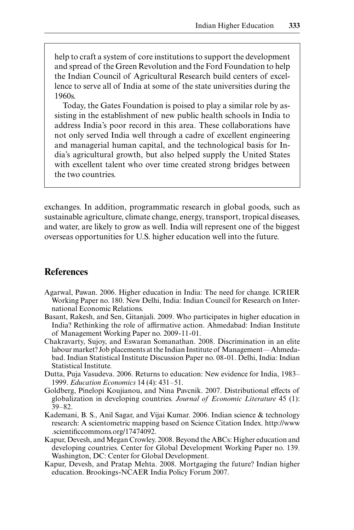help to craft a system of core institutions to support the development and spread of the Green Revolution and the Ford Foundation to help the Indian Council of Agricultural Research build centers of excellence to serve all of India at some of the state universities during the 1960s.

Today, the Gates Foundation is poised to play a similar role by assisting in the establishment of new public health schools in India to address India's poor record in this area. These collaborations have not only served India well through a cadre of excellent engineering and managerial human capital, and the technological basis for India's agricultural growth, but also helped supply the United States with excellent talent who over time created strong bridges between the two countries.

exchanges. In addition, programmatic research in global goods, such as sustainable agriculture, climate change, energy, transport, tropical diseases, and water, are likely to grow as well. India will represent one of the biggest overseas opportunities for U.S. higher education well into the future.

## **References**

- Agarwal, Pawan. 2006. Higher education in India: The need for change. ICRIER Working Paper no. 180. New Delhi, India: Indian Council for Research on International Economic Relations.
- Basant, Rakesh, and Sen, Gitanjali. 2009. Who participates in higher education in India? Rethinking the role of affirmative action. Ahmedabad: Indian Institute of Management Working Paper no. 2009-11-01.
- Chakravarty, Sujoy, and Eswaran Somanathan. 2008. Discrimination in an elite labour market? Job placements at the Indian Institute of Management—Ahmedabad. Indian Statistical Institute Discussion Paper no. 08- 01. Delhi, India: Indian Statistical Institute.
- Dutta, Puja Vasudeva. 2006. Returns to education: New evidence for India, 1983– 1999. *Education Economics* 14 (4): 431-51.
- Goldberg, Pinelopi Koujianou, and Nina Pavcnik. 2007. Distributional effects of globalization in developing countries. *Journal of Economic Literature* 45 (1):  $39 - 82.$
- Kademani, B. S., Anil Sagar, and Vijai Kumar. 2006. Indian science & technology research: A scientometric mapping based on Science Citation Index. http://www .scientificcommons.org/17474092.
- Kapur, Devesh, and Megan Crowley. 2008. Beyond the ABCs: Higher education and developing countries. Center for Global Development Working Paper no. 139. Washington, DC: Center for Global Development.
- Kapur, Devesh, and Pratap Mehta. 2008. Mortgaging the future? Indian higher education. Brookings- NCAER India Policy Forum 2007.